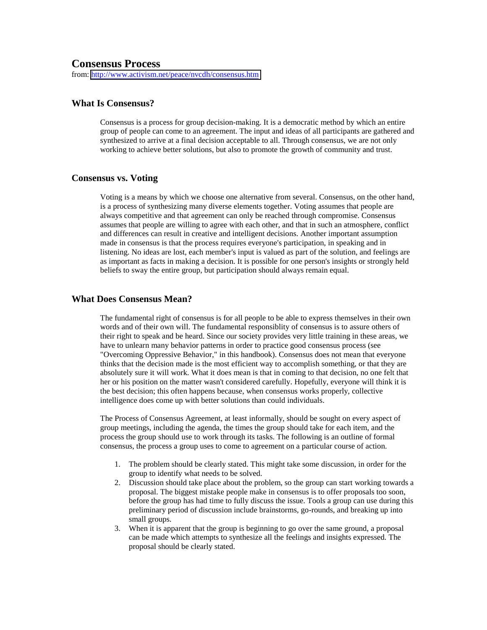# **Consensus Process**

from:<http://www.activism.net/peace/nvcdh/consensus.htm>

# **What Is Consensus?**

Consensus is a process for group decision-making. It is a democratic method by which an entire group of people can come to an agreement. The input and ideas of all participants are gathered and synthesized to arrive at a final decision acceptable to all. Through consensus, we are not only working to achieve better solutions, but also to promote the growth of community and trust.

# **Consensus vs. Voting**

Voting is a means by which we choose one alternative from several. Consensus, on the other hand, is a process of synthesizing many diverse elements together. Voting assumes that people are always competitive and that agreement can only be reached through compromise. Consensus assumes that people are willing to agree with each other, and that in such an atmosphere, conflict and differences can result in creative and intelligent decisions. Another important assumption made in consensus is that the process requires everyone's participation, in speaking and in listening. No ideas are lost, each member's input is valued as part of the solution, and feelings are as important as facts in making a decision. It is possible for one person's insights or strongly held beliefs to sway the entire group, but participation should always remain equal.

# **What Does Consensus Mean?**

The fundamental right of consensus is for all people to be able to express themselves in their own words and of their own will. The fundamental responsiblity of consensus is to assure others of their right to speak and be heard. Since our society provides very little training in these areas, we have to unlearn many behavior patterns in order to practice good consensus process (see "Overcoming Oppressive Behavior," in this handbook). Consensus does not mean that everyone thinks that the decision made is the most efficient way to accomplish something, or that they are absolutely sure it will work. What it does mean is that in coming to that decision, no one felt that her or his position on the matter wasn't considered carefully. Hopefully, everyone will think it is the best decision; this often happens because, when consensus works properly, collective intelligence does come up with better solutions than could individuals.

The Process of Consensus Agreement, at least informally, should be sought on every aspect of group meetings, including the agenda, the times the group should take for each item, and the process the group should use to work through its tasks. The following is an outline of formal consensus, the process a group uses to come to agreement on a particular course of action.

- 1. The problem should be clearly stated. This might take some discussion, in order for the group to identify what needs to be solved.
- 2. Discussion should take place about the problem, so the group can start working towards a proposal. The biggest mistake people make in consensus is to offer proposals too soon, before the group has had time to fully discuss the issue. Tools a group can use during this preliminary period of discussion include brainstorms, go-rounds, and breaking up into small groups.
- 3. When it is apparent that the group is beginning to go over the same ground, a proposal can be made which attempts to synthesize all the feelings and insights expressed. The proposal should be clearly stated.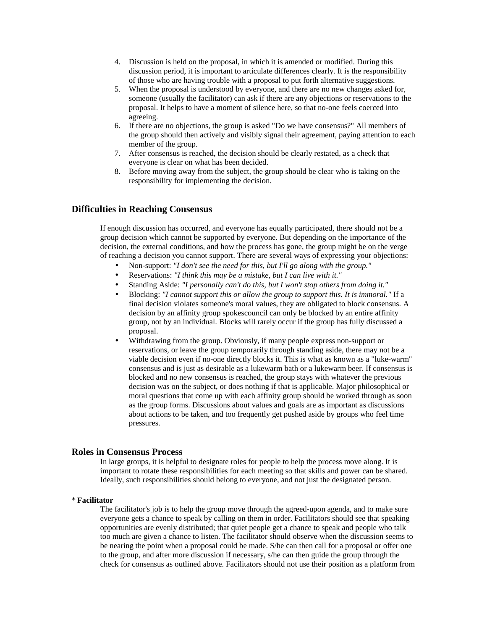- 4. Discussion is held on the proposal, in which it is amended or modified. During this discussion period, it is important to articulate differences clearly. It is the responsibility of those who are having trouble with a proposal to put forth alternative suggestions.
- 5. When the proposal is understood by everyone, and there are no new changes asked for, someone (usually the facilitator) can ask if there are any objections or reservations to the proposal. It helps to have a moment of silence here, so that no-one feels coerced into agreeing.
- 6. If there are no objections, the group is asked "Do we have consensus?" All members of the group should then actively and visibly signal their agreement, paying attention to each member of the group.
- 7. After consensus is reached, the decision should be clearly restated, as a check that everyone is clear on what has been decided.
- 8. Before moving away from the subject, the group should be clear who is taking on the responsibility for implementing the decision.

# **Difficulties in Reaching Consensus**

If enough discussion has occurred, and everyone has equally participated, there should not be a group decision which cannot be supported by everyone. But depending on the importance of the decision, the external conditions, and how the process has gone, the group might be on the verge of reaching a decision you cannot support. There are several ways of expressing your objections:

- Non-support: *"I don't see the need for this, but I'll go along with the group."*
- Reservations: *"I think this may be a mistake, but I can live with it."*
- Standing Aside: *"I personally can't do this, but I won't stop others from doing it."*
- Blocking: *"I cannot support this or allow the group to support this. It is immoral."* If a final decision violates someone's moral values, they are obligated to block consensus. A decision by an affinity group spokescouncil can only be blocked by an entire affinity group, not by an individual. Blocks will rarely occur if the group has fully discussed a proposal.
- Withdrawing from the group. Obviously, if many people express non-support or reservations, or leave the group temporarily through standing aside, there may not be a viable decision even if no-one directly blocks it. This is what as known as a "luke-warm" consensus and is just as desirable as a lukewarm bath or a lukewarm beer. If consensus is blocked and no new consensus is reached, the group stays with whatever the previous decision was on the subject, or does nothing if that is applicable. Major philosophical or moral questions that come up with each affinity group should be worked through as soon as the group forms. Discussions about values and goals are as important as discussions about actions to be taken, and too frequently get pushed aside by groups who feel time pressures.

**Roles in Consensus Process**<br>In large groups, it is helpful to designate roles for people to help the process move along. It is important to rotate these responsibilities for each meeting so that skills and power can be shared. Ideally, such responsibilities should belong to everyone, and not just the designated person.

## \* **Facilitator**

The facilitator's job is to help the group move through the agreed-upon agenda, and to make sure everyone gets a chance to speak by calling on them in order. Facilitators should see that speaking opportunities are evenly distributed; that quiet people get a chance to speak and people who talk too much are given a chance to listen. The facilitator should observe when the discussion seems to be nearing the point when a proposal could be made. S/he can then call for a proposal or offer one to the group, and after more discussion if necessary, s/he can then guide the group through the check for consensus as outlined above. Facilitators should not use their position as a platform from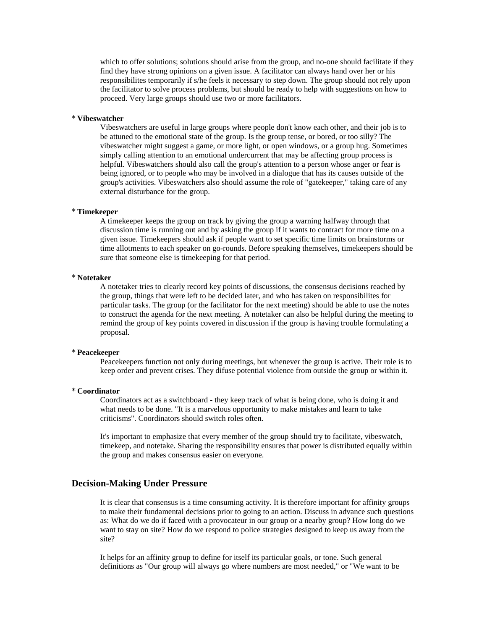which to offer solutions; solutions should arise from the group, and no-one should facilitate if they find they have strong opinions on a given issue. A facilitator can always hand over her or his responsibilites temporarily if s/he feels it necessary to step down. The group should not rely upon the facilitator to solve process problems, but should be ready to help with suggestions on how to proceed. Very large groups should use two or more facilitators.

## \* **Vibeswatcher**

Vibeswatchers are useful in large groups where people don't know each other, and their job is to be attuned to the emotional state of the group. Is the group tense, or bored, or too silly? The vibeswatcher might suggest a game, or more light, or open windows, or a group hug. Sometimes simply calling attention to an emotional undercurrent that may be affecting group process is helpful. Vibeswatchers should also call the group's attention to a person whose anger or fear is being ignored, or to people who may be involved in a dialogue that has its causes outside of the group's activities. Vibeswatchers also should assume the role of "gatekeeper," taking care of any external disturbance for the group.

#### \* **Timekeeper**

A timekeeper keeps the group on track by giving the group a warning halfway through that discussion time is running out and by asking the group if it wants to contract for more time on a given issue. Timekeepers should ask if people want to set specific time limits on brainstorms or time allotments to each speaker on go-rounds. Before speaking themselves, timekeepers should be sure that someone else is timekeeping for that period.

# \* **Notetaker**

A notetaker tries to clearly record key points of discussions, the consensus decisions reached by the group, things that were left to be decided later, and who has taken on responsibilites for particular tasks. The group (or the facilitator for the next meeting) should be able to use the notes to construct the agenda for the next meeting. A notetaker can also be helpful during the meeting to remind the group of key points covered in discussion if the group is having trouble formulating a proposal.

### \* **Peacekeeper**

Peacekeepers function not only during meetings, but whenever the group is active. Their role is to keep order and prevent crises. They difuse potential violence from outside the group or within it.

## \* **Coordinator**

Coordinators act as a switchboard - they keep track of what is being done, who is doing it and what needs to be done. "It is a marvelous opportunity to make mistakes and learn to take criticisms". Coordinators should switch roles often.

It's important to emphasize that every member of the group should try to facilitate, vibeswatch, timekeep, and notetake. Sharing the responsibility ensures that power is distributed equally within the group and makes consensus easier on everyone.

# **Decision-Making Under Pressure**

It is clear that consensus is a time consuming activity. It is therefore important for affinity groups to make their fundamental decisions prior to going to an action. Discuss in advance such questions as: What do we do if faced with a provocateur in our group or a nearby group? How long do we want to stay on site? How do we respond to police strategies designed to keep us away from the site?

It helps for an affinity group to define for itself its particular goals, or tone. Such general definitions as "Our group will always go where numbers are most needed," or "We want to be